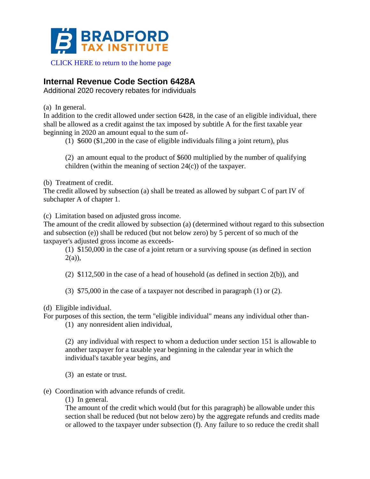

## [CLICK HERE to return to the home page](https://www.bradfordtaxinstitute.com)

# **Internal Revenue Code Section 6428A**

Additional 2020 recovery rebates for individuals

(a) In general.

In addition to the credit allowed under section 6428, in the case of an eligible individual, there shall be allowed as a credit against the tax imposed by subtitle A for the first taxable year beginning in 2020 an amount equal to the sum of-

(1) \$600 (\$1,200 in the case of eligible individuals filing a joint return), plus

(2) an amount equal to the product of \$600 multiplied by the number of qualifying children (within the meaning of section  $24(c)$ ) of the taxpayer.

(b) Treatment of credit.

The credit allowed by subsection (a) shall be treated as allowed by subpart C of part IV of subchapter A of chapter 1.

(c) Limitation based on adjusted gross income.

The amount of the credit allowed by subsection (a) (determined without regard to this subsection and subsection (e)) shall be reduced (but not below zero) by 5 percent of so much of the taxpayer's adjusted gross income as exceeds-

(1) \$150,000 in the case of a joint return or a surviving spouse (as defined in section  $2(a)$ ),

(2) \$112,500 in the case of a head of household (as defined in section 2(b)), and

- (3) \$75,000 in the case of a taxpayer not described in paragraph (1) or (2).
- (d) Eligible individual.

For purposes of this section, the term "eligible individual" means any individual other than-

(1) any nonresident alien individual,

(2) any individual with respect to whom a deduction under section 151 is allowable to another taxpayer for a taxable year beginning in the calendar year in which the individual's taxable year begins, and

(3) an estate or trust.

- (e) Coordination with advance refunds of credit.
	- (1) In general.

The amount of the credit which would (but for this paragraph) be allowable under this section shall be reduced (but not below zero) by the aggregate refunds and credits made or allowed to the taxpayer under subsection (f). Any failure to so reduce the credit shall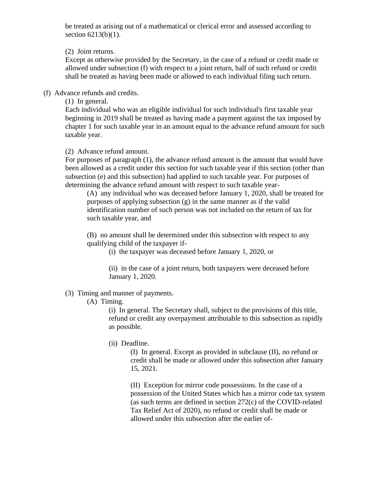be treated as arising out of a mathematical or clerical error and assessed according to section 6213(b)(1).

(2) Joint returns.

Except as otherwise provided by the Secretary, in the case of a refund or credit made or allowed under subsection (f) with respect to a joint return, half of such refund or credit shall be treated as having been made or allowed to each individual filing such return.

(f) Advance refunds and credits.

(1) In general.

Each individual who was an eligible individual for such individual's first taxable year beginning in 2019 shall be treated as having made a payment against the tax imposed by chapter 1 for such taxable year in an amount equal to the advance refund amount for such taxable year.

(2) Advance refund amount.

For purposes of paragraph (1), the advance refund amount is the amount that would have been allowed as a credit under this section for such taxable year if this section (other than subsection (e) and this subsection) had applied to such taxable year. For purposes of determining the advance refund amount with respect to such taxable year-

(A) any individual who was deceased before January 1, 2020, shall be treated for purposes of applying subsection  $(g)$  in the same manner as if the valid identification number of such person was not included on the return of tax for such taxable year, and

(B) no amount shall be determined under this subsection with respect to any qualifying child of the taxpayer if-

(i) the taxpayer was deceased before January 1, 2020, or

(ii) in the case of a joint return, both taxpayers were deceased before January 1, 2020.

# (3) Timing and manner of payments.

(A) Timing.

(i) In general. The Secretary shall, subject to the provisions of this title, refund or credit any overpayment attributable to this subsection as rapidly as possible.

(ii) Deadline.

(I) In general. Except as provided in subclause (II), no refund or credit shall be made or allowed under this subsection after January 15, 2021.

(II) Exception for mirror code possessions. In the case of a possession of the United States which has a mirror code tax system (as such terms are defined in section 272(c) of the COVID-related Tax Relief Act of 2020), no refund or credit shall be made or allowed under this subsection after the earlier of-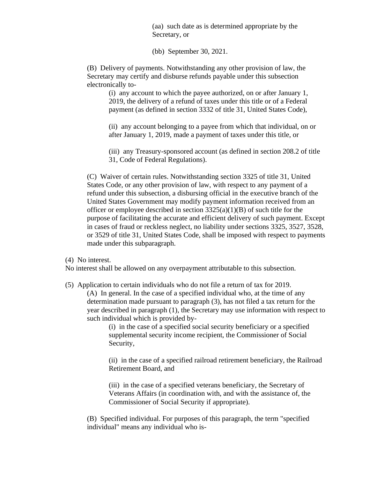(aa) such date as is determined appropriate by the Secretary, or

(bb) September 30, 2021.

(B) Delivery of payments. Notwithstanding any other provision of law, the Secretary may certify and disburse refunds payable under this subsection electronically to-

(i) any account to which the payee authorized, on or after January 1, 2019, the delivery of a refund of taxes under this title or of a Federal payment (as defined in section 3332 of title 31, United States Code),

(ii) any account belonging to a payee from which that individual, on or after January 1, 2019, made a payment of taxes under this title, or

(iii) any Treasury-sponsored account (as defined in section 208.2 of title 31, Code of Federal Regulations).

(C) Waiver of certain rules. Notwithstanding section 3325 of title 31, United States Code, or any other provision of law, with respect to any payment of a refund under this subsection, a disbursing official in the executive branch of the United States Government may modify payment information received from an officer or employee described in section  $3325(a)(1)(B)$  of such title for the purpose of facilitating the accurate and efficient delivery of such payment. Except in cases of fraud or reckless neglect, no liability under sections 3325, 3527, 3528, or 3529 of title 31, United States Code, shall be imposed with respect to payments made under this subparagraph.

(4) No interest.

No interest shall be allowed on any overpayment attributable to this subsection.

(5) Application to certain individuals who do not file a return of tax for 2019.

(A) In general. In the case of a specified individual who, at the time of any determination made pursuant to paragraph (3), has not filed a tax return for the year described in paragraph (1), the Secretary may use information with respect to such individual which is provided by-

> (i) in the case of a specified social security beneficiary or a specified supplemental security income recipient, the Commissioner of Social Security,

(ii) in the case of a specified railroad retirement beneficiary, the Railroad Retirement Board, and

(iii) in the case of a specified veterans beneficiary, the Secretary of Veterans Affairs (in coordination with, and with the assistance of, the Commissioner of Social Security if appropriate).

(B) Specified individual. For purposes of this paragraph, the term "specified individual" means any individual who is-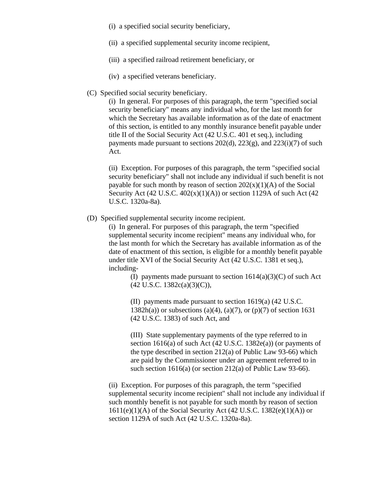- (i) a specified social security beneficiary,
- (ii) a specified supplemental security income recipient,
- (iii) a specified railroad retirement beneficiary, or
- (iv) a specified veterans beneficiary.
- (C) Specified social security beneficiary.

(i) In general. For purposes of this paragraph, the term "specified social security beneficiary" means any individual who, for the last month for which the Secretary has available information as of the date of enactment of this section, is entitled to any monthly insurance benefit payable under title II of the Social Security Act (42 U.S.C. 401 et seq.), including payments made pursuant to sections  $202(d)$ ,  $223(g)$ , and  $223(i)(7)$  of such Act.

(ii) Exception. For purposes of this paragraph, the term "specified social security beneficiary" shall not include any individual if such benefit is not payable for such month by reason of section  $202(x)(1)(A)$  of the Social Security Act  $(42 \text{ U.S.C. } 402(x)(1)(\text{A}))$  or section 1129A of such Act  $(42 \text{ U.S.C. } 402(x)(1)(\text{A}))$ U.S.C. 1320a-8a).

(D) Specified supplemental security income recipient.

(i) In general. For purposes of this paragraph, the term "specified supplemental security income recipient" means any individual who, for the last month for which the Secretary has available information as of the date of enactment of this section, is eligible for a monthly benefit payable under title XVI of the Social Security Act (42 U.S.C. 1381 et seq.), including-

> (I) payments made pursuant to section  $1614(a)(3)(C)$  of such Act (42 U.S.C. 1382c(a)(3)(C)),

(II) payments made pursuant to section 1619(a) (42 U.S.C. 1382h(a)) or subsections (a)(4), (a)(7), or (p)(7) of section 1631 (42 U.S.C. 1383) of such Act, and

(III) State supplementary payments of the type referred to in section 1616(a) of such Act (42 U.S.C. 1382e(a)) (or payments of the type described in section 212(a) of Public Law 93-66) which are paid by the Commissioner under an agreement referred to in such section 1616(a) (or section 212(a) of Public Law 93-66).

(ii) Exception. For purposes of this paragraph, the term "specified supplemental security income recipient" shall not include any individual if such monthly benefit is not payable for such month by reason of section  $1611(e)(1)(A)$  of the Social Security Act (42 U.S.C. 1382(e)(1)(A)) or section 1129A of such Act (42 U.S.C. 1320a-8a).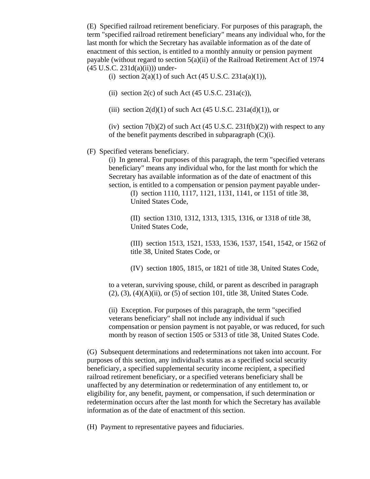(E) Specified railroad retirement beneficiary. For purposes of this paragraph, the term "specified railroad retirement beneficiary" means any individual who, for the last month for which the Secretary has available information as of the date of enactment of this section, is entitled to a monthly annuity or pension payment payable (without regard to section 5(a)(ii) of the Railroad Retirement Act of 1974  $(45 \text{ U.S.C. } 231d(a)(ii))$  under-

(i) section  $2(a)(1)$  of such Act  $(45 \text{ U.S.C. } 231a(a)(1)),$ 

(ii) section  $2(c)$  of such Act (45 U.S.C. 231a(c)),

(iii) section  $2(d)(1)$  of such Act (45 U.S.C.  $231a(d)(1)$ ), or

(iv) section  $7(b)(2)$  of such Act (45 U.S.C. 231f(b)(2)) with respect to any of the benefit payments described in subparagraph  $(C)(i)$ .

#### (F) Specified veterans beneficiary.

(i) In general. For purposes of this paragraph, the term "specified veterans beneficiary" means any individual who, for the last month for which the Secretary has available information as of the date of enactment of this section, is entitled to a compensation or pension payment payable under-

(I) section 1110, 1117, 1121, 1131, 1141, or 1151 of title 38, United States Code,

(II) section 1310, 1312, 1313, 1315, 1316, or 1318 of title 38, United States Code,

(III) section 1513, 1521, 1533, 1536, 1537, 1541, 1542, or 1562 of title 38, United States Code, or

(IV) section 1805, 1815, or 1821 of title 38, United States Code,

to a veteran, surviving spouse, child, or parent as described in paragraph (2), (3), (4)(A)(ii), or (5) of section 101, title 38, United States Code.

(ii) Exception. For purposes of this paragraph, the term "specified veterans beneficiary" shall not include any individual if such compensation or pension payment is not payable, or was reduced, for such month by reason of section 1505 or 5313 of title 38, United States Code.

(G) Subsequent determinations and redeterminations not taken into account. For purposes of this section, any individual's status as a specified social security beneficiary, a specified supplemental security income recipient, a specified railroad retirement beneficiary, or a specified veterans beneficiary shall be unaffected by any determination or redetermination of any entitlement to, or eligibility for, any benefit, payment, or compensation, if such determination or redetermination occurs after the last month for which the Secretary has available information as of the date of enactment of this section.

(H) Payment to representative payees and fiduciaries.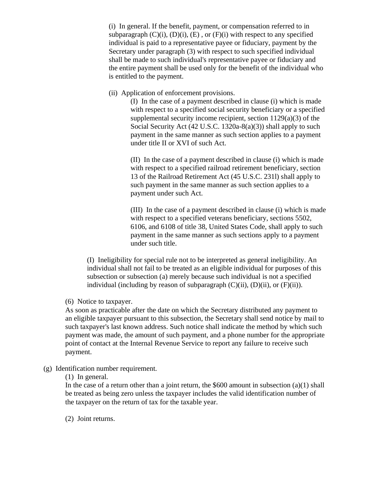(i) In general. If the benefit, payment, or compensation referred to in subparagraph  $(C)(i)$ ,  $(D)(i)$ ,  $(E)$ , or  $(F)(i)$  with respect to any specified individual is paid to a representative payee or fiduciary, payment by the Secretary under paragraph (3) with respect to such specified individual shall be made to such individual's representative payee or fiduciary and the entire payment shall be used only for the benefit of the individual who is entitled to the payment.

(ii) Application of enforcement provisions.

(I) In the case of a payment described in clause (i) which is made with respect to a specified social security beneficiary or a specified supplemental security income recipient, section 1129(a)(3) of the Social Security Act (42 U.S.C. 1320a-8(a)(3)) shall apply to such payment in the same manner as such section applies to a payment under title II or XVI of such Act.

(II) In the case of a payment described in clause (i) which is made with respect to a specified railroad retirement beneficiary, section 13 of the Railroad Retirement Act (45 U.S.C. 231l) shall apply to such payment in the same manner as such section applies to a payment under such Act.

(III) In the case of a payment described in clause (i) which is made with respect to a specified veterans beneficiary, sections 5502, 6106, and 6108 of title 38, United States Code, shall apply to such payment in the same manner as such sections apply to a payment under such title.

(I) Ineligibility for special rule not to be interpreted as general ineligibility. An individual shall not fail to be treated as an eligible individual for purposes of this subsection or subsection (a) merely because such individual is not a specified individual (including by reason of subparagraph  $(C)(ii)$ ,  $(D)(ii)$ , or  $(F)(ii)$ ).

(6) Notice to taxpayer.

As soon as practicable after the date on which the Secretary distributed any payment to an eligible taxpayer pursuant to this subsection, the Secretary shall send notice by mail to such taxpayer's last known address. Such notice shall indicate the method by which such payment was made, the amount of such payment, and a phone number for the appropriate point of contact at the Internal Revenue Service to report any failure to receive such payment.

(g) Identification number requirement.

(1) In general.

In the case of a return other than a joint return, the  $$600$  amount in subsection (a)(1) shall be treated as being zero unless the taxpayer includes the valid identification number of the taxpayer on the return of tax for the taxable year.

(2) Joint returns.